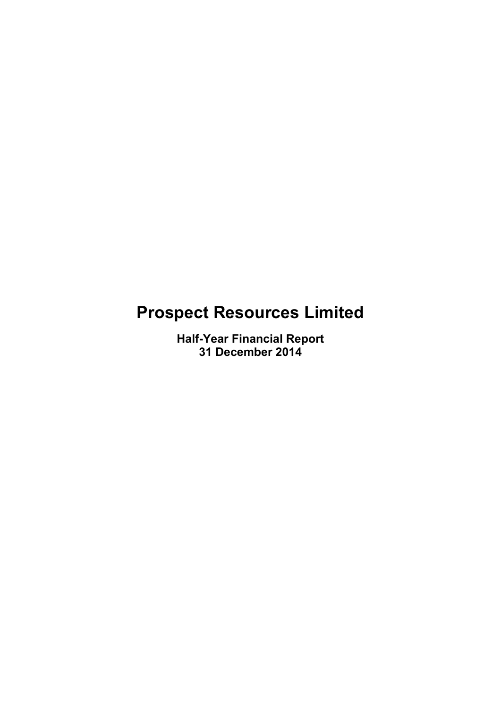# **Prospect Resources Limited**

**Half-Year Financial Report 31 December 2014**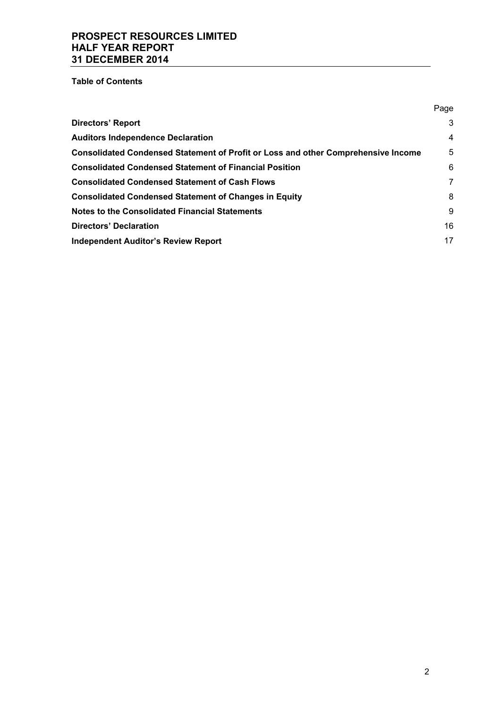**Table of Contents** 

| Page |
|------|
| 3    |
| 4    |
| 5    |
| 6    |
| 7    |
| 8    |
| 9    |
| 16   |
| 17   |
|      |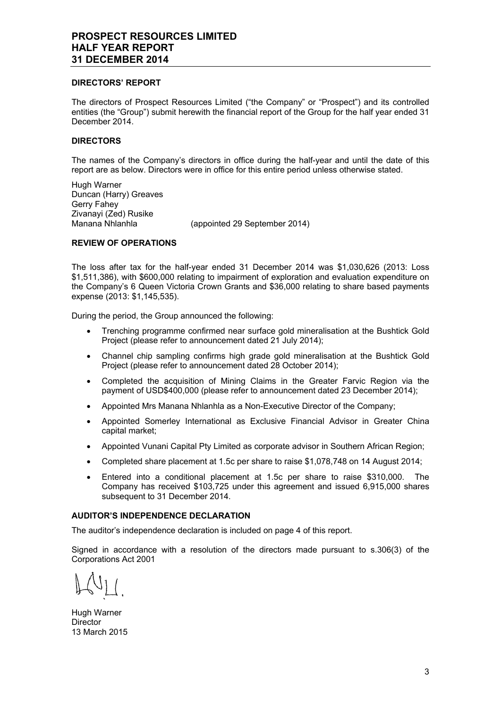#### **DIRECTORS' REPORT**

The directors of Prospect Resources Limited ("the Company" or "Prospect") and its controlled entities (the "Group") submit herewith the financial report of the Group for the half year ended 31 December 2014.

# **DIRECTORS**

The names of the Company's directors in office during the half-year and until the date of this report are as below. Directors were in office for this entire period unless otherwise stated.

Hugh Warner Duncan (Harry) Greaves Gerry Fahey Zivanayi (Zed) Rusike Manana Nhlanhla (appointed 29 September 2014)

# **REVIEW OF OPERATIONS**

The loss after tax for the half-year ended 31 December 2014 was \$1,030,626 (2013: Loss \$1,511,386), with \$600,000 relating to impairment of exploration and evaluation expenditure on the Company's 6 Queen Victoria Crown Grants and \$36,000 relating to share based payments expense (2013: \$1,145,535).

During the period, the Group announced the following:

- Trenching programme confirmed near surface gold mineralisation at the Bushtick Gold Project (please refer to announcement dated 21 July 2014);
- Channel chip sampling confirms high grade gold mineralisation at the Bushtick Gold Project (please refer to announcement dated 28 October 2014);
- Completed the acquisition of Mining Claims in the Greater Farvic Region via the payment of USD\$400,000 (please refer to announcement dated 23 December 2014);
- Appointed Mrs Manana Nhlanhla as a Non-Executive Director of the Company;
- Appointed Somerley International as Exclusive Financial Advisor in Greater China capital market;
- Appointed Vunani Capital Pty Limited as corporate advisor in Southern African Region;
- Completed share placement at 1.5c per share to raise \$1,078,748 on 14 August 2014;
- Entered into a conditional placement at 1.5c per share to raise \$310,000. The Company has received \$103,725 under this agreement and issued 6,915,000 shares subsequent to 31 December 2014.

# **AUDITOR'S INDEPENDENCE DECLARATION**

The auditor's independence declaration is included on page 4 of this report.

Signed in accordance with a resolution of the directors made pursuant to s.306(3) of the Corporations Act 2001

Hugh Warner **Director** 13 March 2015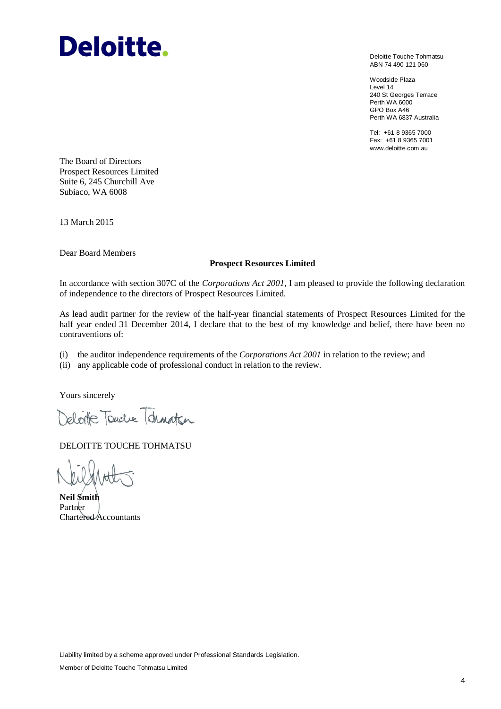# **Deloitte.**

Deloitte Touche Tohmatsu ABN 74 490 121 060

Woodside Plaza Level 14 240 St Georges Terrace Perth WA 6000 GPO Box A46 Perth WA 6837 Australia

Tel: +61 8 9365 7000 Fax: +61 8 9365 7001 www.deloitte.com.au

The Board of Directors Prospect Resources Limited Suite 6, 245 Churchill Ave Subiaco, WA 6008

13 March 2015

Dear Board Members

# **Prospect Resources Limited**

In accordance with section 307C of the *Corporations Act 2001*, I am pleased to provide the following declaration of independence to the directors of Prospect Resources Limited.

As lead audit partner for the review of the half-year financial statements of Prospect Resources Limited for the half year ended 31 December 2014, I declare that to the best of my knowledge and belief, there have been no contraventions of:

(i) the auditor independence requirements of the *Corporations Act 2001* in relation to the review; and

(ii) any applicable code of professional conduct in relation to the review.

Yours sincerely

He Touche Tohnatson

DELOITTE TOUCHE TOHMATSU

**Neil Smith** Partner Chartered Accountants

Liability limited by a scheme approved under Professional Standards Legislation.

Member of Deloitte Touche Tohmatsu Limited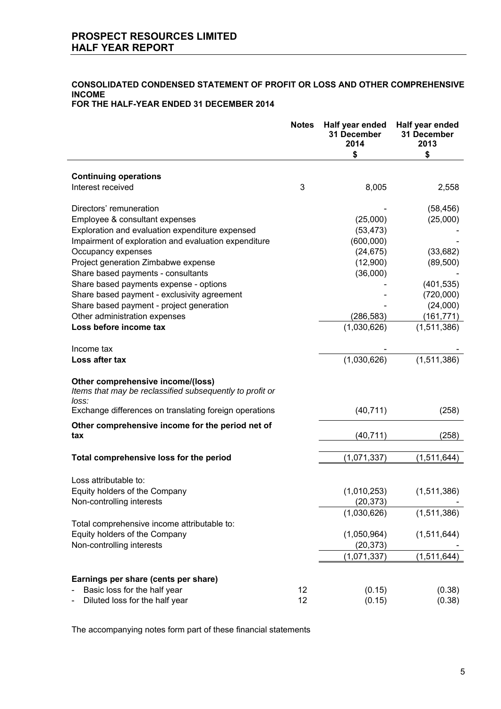# **CONSOLIDATED CONDENSED STATEMENT OF PROFIT OR LOSS AND OTHER COMPREHENSIVE INCOME**

# **FOR THE HALF-YEAR ENDED 31 DECEMBER 2014**

|                                                                                                        | <b>Notes</b> | Half year ended<br>31 December<br>2014<br>\$ | Half year ended<br>31 December<br>2013<br>\$ |
|--------------------------------------------------------------------------------------------------------|--------------|----------------------------------------------|----------------------------------------------|
| <b>Continuing operations</b>                                                                           |              |                                              |                                              |
| Interest received                                                                                      | 3            | 8,005                                        | 2,558                                        |
| Directors' remuneration                                                                                |              |                                              | (58, 456)                                    |
| Employee & consultant expenses                                                                         |              | (25,000)                                     | (25,000)                                     |
| Exploration and evaluation expenditure expensed                                                        |              | (53, 473)                                    |                                              |
| Impairment of exploration and evaluation expenditure                                                   |              | (600,000)                                    |                                              |
| Occupancy expenses                                                                                     |              | (24, 675)                                    | (33, 682)                                    |
| Project generation Zimbabwe expense                                                                    |              | (12,900)                                     | (89, 500)                                    |
| Share based payments - consultants                                                                     |              | (36,000)                                     |                                              |
| Share based payments expense - options                                                                 |              |                                              | (401, 535)                                   |
| Share based payment - exclusivity agreement                                                            |              |                                              | (720,000)                                    |
| Share based payment - project generation                                                               |              |                                              | (24,000)                                     |
| Other administration expenses                                                                          |              | (286, 583)                                   | (161, 771)                                   |
| Loss before income tax                                                                                 |              | (1,030,626)                                  | (1,511,386)                                  |
| Income tax                                                                                             |              |                                              |                                              |
| Loss after tax                                                                                         |              | (1,030,626)                                  | (1,511,386)                                  |
| Other comprehensive income/(loss)<br>Items that may be reclassified subsequently to profit or<br>loss: |              |                                              |                                              |
| Exchange differences on translating foreign operations                                                 |              | (40, 711)                                    | (258)                                        |
| Other comprehensive income for the period net of<br>tax                                                |              | (40, 711)                                    | (258)                                        |
| Total comprehensive loss for the period                                                                |              | (1,071,337)                                  | (1,511,644)                                  |
|                                                                                                        |              |                                              |                                              |
| Loss attributable to:                                                                                  |              |                                              |                                              |
| Equity holders of the Company                                                                          |              | (1,010,253)<br>(20, 373)                     | (1,511,386)                                  |
| Non-controlling interests                                                                              |              | (1,030,626)                                  | (1,511,386)                                  |
| Total comprehensive income attributable to:                                                            |              |                                              |                                              |
| Equity holders of the Company                                                                          |              | (1,050,964)                                  | (1,511,644)                                  |
| Non-controlling interests                                                                              |              | (20, 373)                                    |                                              |
|                                                                                                        |              | (1,071,337)                                  | (1,511,644)                                  |
| Earnings per share (cents per share)                                                                   |              |                                              |                                              |
| Basic loss for the half year                                                                           | 12           | (0.15)                                       | (0.38)                                       |
| Diluted loss for the half year                                                                         | 12           | (0.15)                                       | (0.38)                                       |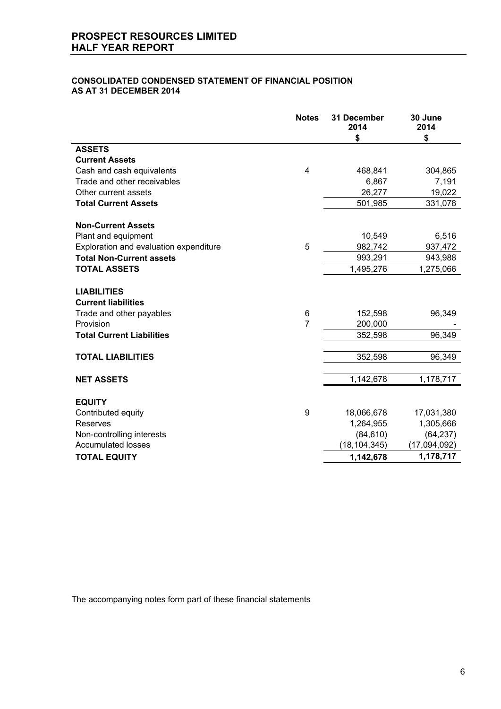# **CONSOLIDATED CONDENSED STATEMENT OF FINANCIAL POSITION AS AT 31 DECEMBER 2014**

|                                        | <b>Notes</b>   | <b>31 December</b><br>2014 | 30 June<br>2014 |
|----------------------------------------|----------------|----------------------------|-----------------|
|                                        |                | \$                         | \$              |
| <b>ASSETS</b>                          |                |                            |                 |
| <b>Current Assets</b>                  |                |                            |                 |
| Cash and cash equivalents              | 4              | 468,841                    | 304,865         |
| Trade and other receivables            |                | 6,867                      | 7,191           |
| Other current assets                   |                | 26,277                     | 19,022          |
| <b>Total Current Assets</b>            |                | 501,985                    | 331,078         |
| <b>Non-Current Assets</b>              |                |                            |                 |
| Plant and equipment                    |                | 10,549                     | 6,516           |
| Exploration and evaluation expenditure | 5              | 982,742                    | 937,472         |
| <b>Total Non-Current assets</b>        |                | 993,291                    | 943,988         |
| <b>TOTAL ASSETS</b>                    |                | 1,495,276                  | 1,275,066       |
| <b>LIABILITIES</b>                     |                |                            |                 |
| <b>Current liabilities</b>             |                |                            |                 |
| Trade and other payables               | 6              | 152,598                    | 96,349          |
| Provision                              | $\overline{7}$ | 200,000                    |                 |
| <b>Total Current Liabilities</b>       |                | 352,598                    | 96,349          |
| <b>TOTAL LIABILITIES</b>               |                | 352,598                    | 96,349          |
|                                        |                |                            |                 |
| <b>NET ASSETS</b>                      |                | 1,142,678                  | 1,178,717       |
| <b>EQUITY</b>                          |                |                            |                 |
| Contributed equity                     | 9              | 18,066,678                 | 17,031,380      |
| Reserves                               |                | 1,264,955                  | 1,305,666       |
| Non-controlling interests              |                | (84, 610)                  | (64, 237)       |
| <b>Accumulated losses</b>              |                | (18, 104, 345)             | (17,094,092)    |
| <b>TOTAL EQUITY</b>                    |                | 1,142,678                  | 1,178,717       |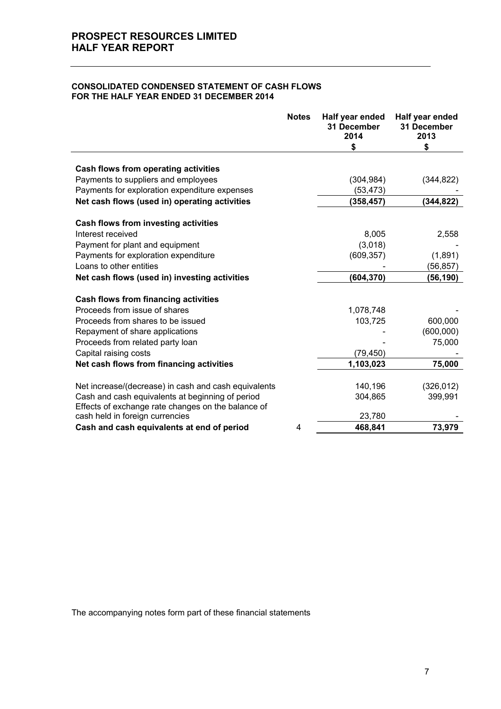### **CONSOLIDATED CONDENSED STATEMENT OF CASH FLOWS FOR THE HALF YEAR ENDED 31 DECEMBER 2014**

|                                                      | <b>Notes</b> | Half year ended<br>31 December<br>2014 | Half year ended<br>31 December<br>2013 |
|------------------------------------------------------|--------------|----------------------------------------|----------------------------------------|
|                                                      |              | \$                                     | \$                                     |
| Cash flows from operating activities                 |              |                                        |                                        |
| Payments to suppliers and employees                  |              | (304, 984)                             | (344, 822)                             |
| Payments for exploration expenditure expenses        |              | (53,473)                               |                                        |
| Net cash flows (used in) operating activities        |              | (358, 457)                             | (344,822)                              |
|                                                      |              |                                        |                                        |
| Cash flows from investing activities                 |              |                                        |                                        |
| Interest received                                    |              | 8,005                                  | 2,558                                  |
| Payment for plant and equipment                      |              | (3,018)                                |                                        |
| Payments for exploration expenditure                 |              | (609, 357)                             | (1,891)                                |
| Loans to other entities                              |              |                                        | (56, 857)                              |
| Net cash flows (used in) investing activities        |              | (604,370)                              | (56, 190)                              |
|                                                      |              |                                        |                                        |
| Cash flows from financing activities                 |              |                                        |                                        |
| Proceeds from issue of shares                        |              | 1,078,748                              |                                        |
| Proceeds from shares to be issued                    |              | 103,725                                | 600,000                                |
| Repayment of share applications                      |              |                                        | (600,000)                              |
| Proceeds from related party loan                     |              |                                        | 75,000                                 |
| Capital raising costs                                |              | (79, 450)                              |                                        |
| Net cash flows from financing activities             |              | 1,103,023                              | 75,000                                 |
|                                                      |              |                                        |                                        |
| Net increase/(decrease) in cash and cash equivalents |              | 140,196                                | (326, 012)                             |
| Cash and cash equivalents at beginning of period     |              | 304,865                                | 399,991                                |
| Effects of exchange rate changes on the balance of   |              |                                        |                                        |
| cash held in foreign currencies                      |              | 23,780                                 |                                        |
| Cash and cash equivalents at end of period           | 4            | 468,841                                | 73,979                                 |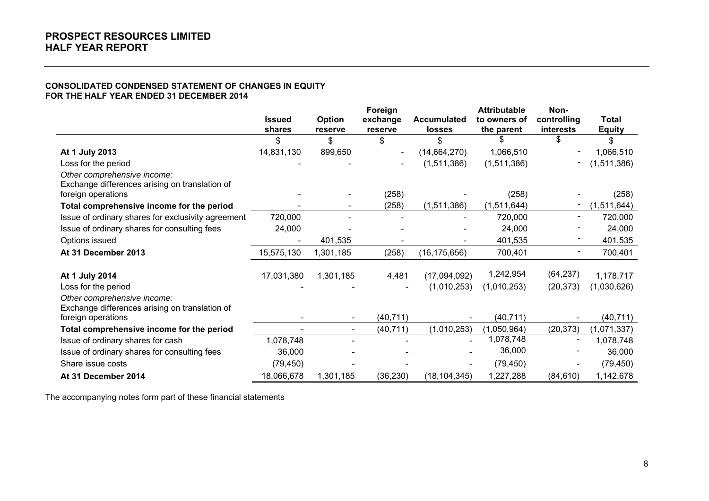# **CONSOLIDATED CONDENSED STATEMENT OF CHANGES IN EQUITY FOR THE HALF YEAR ENDED 31 DECEMBER 2014**

|                                                                               |               |           | Foreign                  |                    | <b>Attributable</b> | Non-        |               |
|-------------------------------------------------------------------------------|---------------|-----------|--------------------------|--------------------|---------------------|-------------|---------------|
|                                                                               | <b>Issued</b> | Option    | exchange                 | <b>Accumulated</b> | to owners of        | controlling | <b>Total</b>  |
|                                                                               | shares        | reserve   | reserve                  | losses             | the parent          | interests   | <b>Equity</b> |
|                                                                               | \$            | \$        | \$                       | \$                 |                     | \$          | \$            |
| At 1 July 2013                                                                | 14,831,130    | 899,650   | $\overline{\phantom{a}}$ | (14, 664, 270)     | 1,066,510           |             | 1,066,510     |
| Loss for the period                                                           |               |           | $\blacksquare$           | (1,511,386)        | (1,511,386)         |             | (1,511,386)   |
| Other comprehensive income:<br>Exchange differences arising on translation of |               |           |                          |                    |                     |             |               |
| foreign operations                                                            |               |           | (258)                    |                    | (258)               |             | (258)         |
| Total comprehensive income for the period                                     |               |           | (258)                    | (1,511,386)        | (1,511,644)         |             | (1,511,644)   |
| Issue of ordinary shares for exclusivity agreement                            | 720,000       |           |                          |                    | 720,000             |             | 720,000       |
| Issue of ordinary shares for consulting fees                                  | 24,000        |           |                          |                    | 24,000              |             | 24,000        |
| Options issued                                                                |               | 401,535   |                          |                    | 401,535             |             | 401,535       |
| At 31 December 2013                                                           | 15,575,130    | 1,301,185 | (258)                    | (16, 175, 656)     | 700,401             |             | 700,401       |
|                                                                               |               |           |                          |                    |                     |             |               |
| At 1 July 2014                                                                | 17,031,380    | 1,301,185 | 4,481                    | (17,094,092)       | 1,242,954           | (64, 237)   | 1,178,717     |
| Loss for the period                                                           |               |           |                          | (1,010,253)        | (1,010,253)         | (20, 373)   | (1,030,626)   |
| Other comprehensive income:                                                   |               |           |                          |                    |                     |             |               |
| Exchange differences arising on translation of                                |               |           |                          |                    |                     |             |               |
| foreign operations                                                            |               |           | (40, 711)                |                    | (40, 711)           |             | (40, 711)     |
| Total comprehensive income for the period                                     |               |           | (40, 711)                | (1,010,253)        | (1,050,964)         | (20, 373)   | (1,071,337)   |
| Issue of ordinary shares for cash                                             | 1,078,748     |           |                          |                    | 1,078,748           |             | 1,078,748     |
| Issue of ordinary shares for consulting fees                                  | 36,000        |           |                          |                    | 36,000              |             | 36,000        |
| Share issue costs                                                             | (79, 450)     |           |                          |                    | (79, 450)           |             | (79, 450)     |
| At 31 December 2014                                                           | 18,066,678    | 1,301,185 | (36, 230)                | (18, 104, 345)     | 1,227,288           | (84, 610)   | 1,142,678     |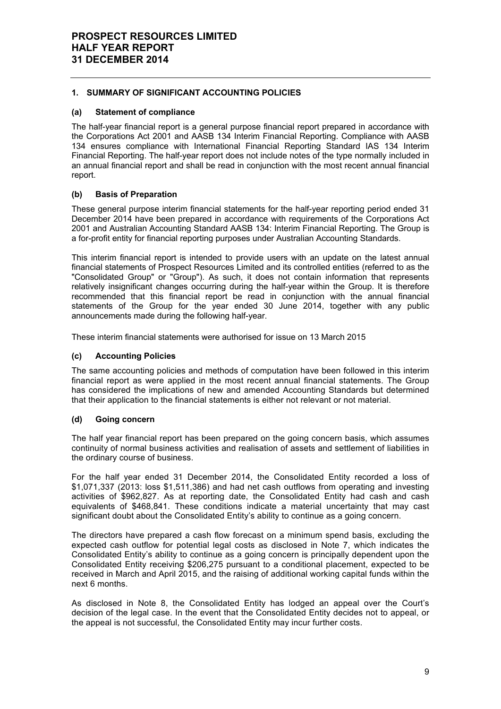# **1. SUMMARY OF SIGNIFICANT ACCOUNTING POLICIES**

# **(a) Statement of compliance**

The half-year financial report is a general purpose financial report prepared in accordance with the Corporations Act 2001 and AASB 134 Interim Financial Reporting. Compliance with AASB 134 ensures compliance with International Financial Reporting Standard IAS 134 Interim Financial Reporting. The half-year report does not include notes of the type normally included in an annual financial report and shall be read in conjunction with the most recent annual financial report.

# **(b) Basis of Preparation**

These general purpose interim financial statements for the half-year reporting period ended 31 December 2014 have been prepared in accordance with requirements of the Corporations Act 2001 and Australian Accounting Standard AASB 134: Interim Financial Reporting. The Group is a for-profit entity for financial reporting purposes under Australian Accounting Standards.

This interim financial report is intended to provide users with an update on the latest annual financial statements of Prospect Resources Limited and its controlled entities (referred to as the "Consolidated Group" or "Group"). As such, it does not contain information that represents relatively insignificant changes occurring during the half-year within the Group. It is therefore recommended that this financial report be read in conjunction with the annual financial statements of the Group for the year ended 30 June 2014, together with any public announcements made during the following half-year.

These interim financial statements were authorised for issue on 13 March 2015

# **(c) Accounting Policies**

The same accounting policies and methods of computation have been followed in this interim financial report as were applied in the most recent annual financial statements. The Group has considered the implications of new and amended Accounting Standards but determined that their application to the financial statements is either not relevant or not material.

# **(d) Going concern**

The half year financial report has been prepared on the going concern basis, which assumes continuity of normal business activities and realisation of assets and settlement of liabilities in the ordinary course of business.

For the half year ended 31 December 2014, the Consolidated Entity recorded a loss of \$1,071,337 (2013: loss \$1,511,386) and had net cash outflows from operating and investing activities of \$962,827. As at reporting date, the Consolidated Entity had cash and cash equivalents of \$468,841. These conditions indicate a material uncertainty that may cast significant doubt about the Consolidated Entity's ability to continue as a going concern.

The directors have prepared a cash flow forecast on a minimum spend basis, excluding the expected cash outflow for potential legal costs as disclosed in Note 7, which indicates the Consolidated Entity's ability to continue as a going concern is principally dependent upon the Consolidated Entity receiving \$206,275 pursuant to a conditional placement, expected to be received in March and April 2015, and the raising of additional working capital funds within the next 6 months.

As disclosed in Note 8, the Consolidated Entity has lodged an appeal over the Court's decision of the legal case. In the event that the Consolidated Entity decides not to appeal, or the appeal is not successful, the Consolidated Entity may incur further costs.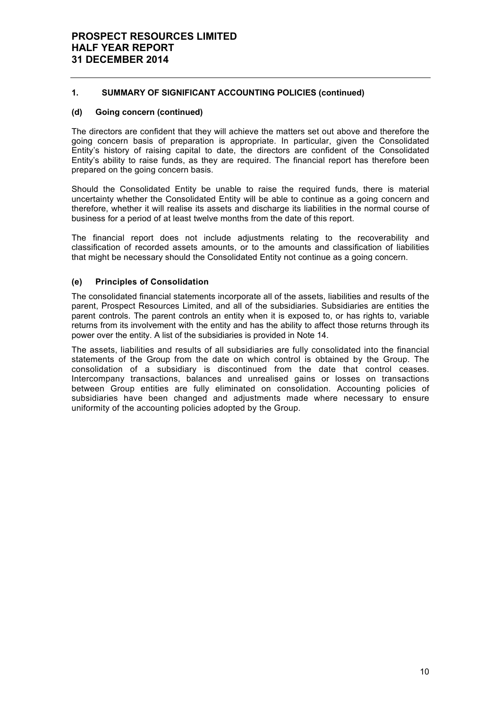# **1. SUMMARY OF SIGNIFICANT ACCOUNTING POLICIES (continued)**

# **(d) Going concern (continued)**

The directors are confident that they will achieve the matters set out above and therefore the going concern basis of preparation is appropriate. In particular, given the Consolidated Entity's history of raising capital to date, the directors are confident of the Consolidated Entity's ability to raise funds, as they are required. The financial report has therefore been prepared on the going concern basis.

Should the Consolidated Entity be unable to raise the required funds, there is material uncertainty whether the Consolidated Entity will be able to continue as a going concern and therefore, whether it will realise its assets and discharge its liabilities in the normal course of business for a period of at least twelve months from the date of this report.

The financial report does not include adjustments relating to the recoverability and classification of recorded assets amounts, or to the amounts and classification of liabilities that might be necessary should the Consolidated Entity not continue as a going concern.

# **(e) Principles of Consolidation**

The consolidated financial statements incorporate all of the assets, liabilities and results of the parent, Prospect Resources Limited, and all of the subsidiaries. Subsidiaries are entities the parent controls. The parent controls an entity when it is exposed to, or has rights to, variable returns from its involvement with the entity and has the ability to affect those returns through its power over the entity. A list of the subsidiaries is provided in Note 14.

The assets, liabilities and results of all subsidiaries are fully consolidated into the financial statements of the Group from the date on which control is obtained by the Group. The consolidation of a subsidiary is discontinued from the date that control ceases. Intercompany transactions, balances and unrealised gains or losses on transactions between Group entities are fully eliminated on consolidation. Accounting policies of subsidiaries have been changed and adjustments made where necessary to ensure uniformity of the accounting policies adopted by the Group.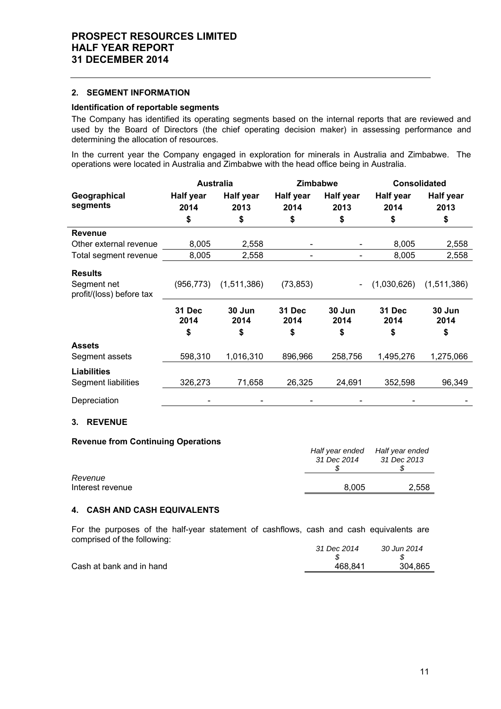#### **2. SEGMENT INFORMATION**

# **Identification of reportable segments**

The Company has identified its operating segments based on the internal reports that are reviewed and used by the Board of Directors (the chief operating decision maker) in assessing performance and determining the allocation of resources.

In the current year the Company engaged in exploration for minerals in Australia and Zimbabwe. The operations were located in Australia and Zimbabwe with the head office being in Australia.

|                                         |                       | Zimbabwe<br><b>Australia</b> |                       | <b>Consolidated</b>      |                   |                          |
|-----------------------------------------|-----------------------|------------------------------|-----------------------|--------------------------|-------------------|--------------------------|
| Geographical<br>segments                | Half year<br>2014     | <b>Half year</b><br>2013     | Half year<br>2014     | <b>Half year</b><br>2013 | Half year<br>2014 | <b>Half year</b><br>2013 |
|                                         | \$                    | \$                           | \$                    | \$                       | \$                | \$                       |
| <b>Revenue</b>                          |                       |                              |                       |                          |                   |                          |
| Other external revenue                  | 8,005                 | 2,558                        |                       |                          | 8,005             | 2,558                    |
| Total segment revenue                   | 8,005                 | 2,558                        |                       |                          | 8,005             | 2,558                    |
| <b>Results</b>                          |                       |                              |                       |                          |                   |                          |
| Segment net<br>profit/(loss) before tax | (956, 773)            | (1,511,386)                  | (73, 853)             |                          | (1,030,626)       | (1,511,386)              |
|                                         | <b>31 Dec</b><br>2014 | 30 Jun<br>2014               | <b>31 Dec</b><br>2014 | 30 Jun<br>2014           | 31 Dec<br>2014    | 30 Jun<br>2014           |
|                                         | \$                    | \$                           | \$                    | \$                       | \$                | \$                       |
| <b>Assets</b>                           |                       |                              |                       |                          |                   |                          |
| Segment assets                          | 598,310               | 1,016,310                    | 896,966               | 258,756                  | 1,495,276         | 1,275,066                |
| <b>Liabilities</b>                      |                       |                              |                       |                          |                   |                          |
| Segment liabilities                     | 326,273               | 71,658                       | 26,325                | 24,691                   | 352,598           | 96,349                   |
| Depreciation                            |                       |                              |                       |                          |                   |                          |

# **3. REVENUE**

#### **Revenue from Continuing Operations**

|                  | Half year ended | Half year ended |
|------------------|-----------------|-----------------|
|                  | 31 Dec 2014     | 31 Dec 2013     |
|                  |                 |                 |
| Revenue          |                 |                 |
| Interest revenue | 8.005           | 2,558           |

# **4. CASH AND CASH EQUIVALENTS**

For the purposes of the half-year statement of cashflows, cash and cash equivalents are comprised of the following:

|                          | 31 Dec 2014 | 30 Jun 2014 |
|--------------------------|-------------|-------------|
|                          |             |             |
| Cash at bank and in hand | 468.841     | 304.865     |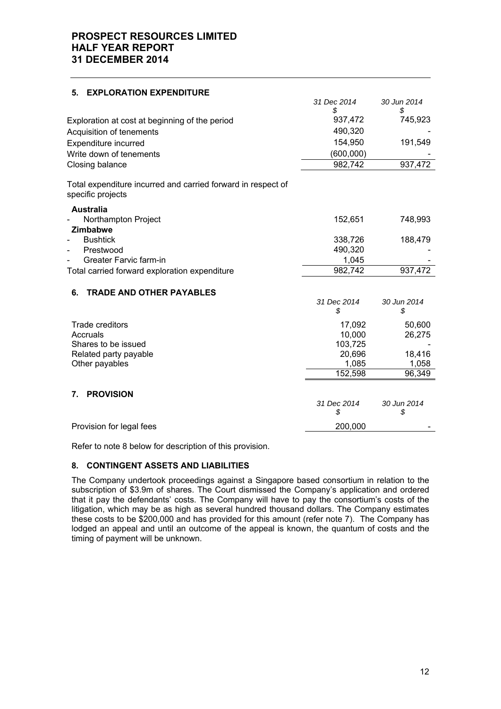| <b>EXPLORATION EXPENDITURE</b><br>5.                                              |                   |                   |
|-----------------------------------------------------------------------------------|-------------------|-------------------|
|                                                                                   | 31 Dec 2014<br>\$ | 30 Jun 2014<br>\$ |
| Exploration at cost at beginning of the period                                    | 937,472           | 745,923           |
| Acquisition of tenements                                                          | 490,320           |                   |
| Expenditure incurred                                                              | 154,950           | 191,549           |
| Write down of tenements                                                           | (600, 000)        |                   |
| Closing balance                                                                   | 982,742           | 937,472           |
| Total expenditure incurred and carried forward in respect of<br>specific projects |                   |                   |
| <b>Australia</b><br>Northampton Project<br>Zimbabwe                               | 152,651           | 748,993           |
| <b>Bushtick</b>                                                                   | 338,726           | 188,479           |
| Prestwood                                                                         | 490,320           |                   |
| Greater Farvic farm-in                                                            | 1,045             |                   |
| Total carried forward exploration expenditure                                     | 982,742           | 937,472           |
| <b>TRADE AND OTHER PAYABLES</b><br>6.                                             |                   |                   |
|                                                                                   | 31 Dec 2014<br>\$ | 30 Jun 2014<br>\$ |
| <b>Trade creditors</b>                                                            | 17,092            | 50,600            |
| Accruals                                                                          | 10,000            | 26,275            |
| Shares to be issued                                                               | 103,725           |                   |
| Related party payable                                                             | 20,696            | 18,416            |
| Other payables                                                                    | 1,085<br>152,598  | 1,058<br>96,349   |
| <b>PROVISION</b><br>7.                                                            |                   |                   |
|                                                                                   | 31 Dec 2014<br>\$ | 30 Jun 2014<br>\$ |
| Provision for legal fees                                                          | 200,000           |                   |

Refer to note 8 below for description of this provision.

# **8. CONTINGENT ASSETS AND LIABILITIES**

The Company undertook proceedings against a Singapore based consortium in relation to the subscription of \$3.9m of shares. The Court dismissed the Company's application and ordered that it pay the defendants' costs. The Company will have to pay the consortium's costs of the litigation, which may be as high as several hundred thousand dollars. The Company estimates these costs to be \$200,000 and has provided for this amount (refer note 7). The Company has lodged an appeal and until an outcome of the appeal is known, the quantum of costs and the timing of payment will be unknown.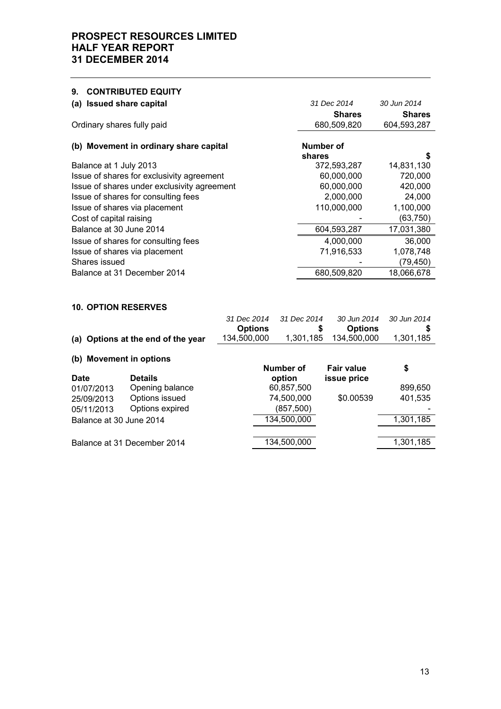# **9. CONTRIBUTED EQUITY (a) Issued share capital** *31 Dec 2014 30 Jun 2014*  **Shares Shares** Ordinary shares fully paid 680,509,820 604,593,287 (b) Movement in ordinary share capital **Number of Number** of **shares \$** Balance at 1 July 2013 Issue of shares for exclusivity agreement 60,000,000 720,000 Issue of shares under exclusivity agreement 60,000,000 420,000 Issue of shares for consulting fees 2,000,000 24,000 Issue of shares via placement 110,000,000 1,100,000 Cost of capital raising  $(63,750)$ Balance at 30 June 2014 **604,593,287** 17,031,380 Issue of shares for consulting fees 4,000,000 36,000 Issue of shares via placement 71,916,533 1,078,748 Shares issued and the state of the state of the state of the state of the state of the state of the state of the state of the state of the state of the state of the state of the state of the state of the state of the state Balance at 31 December 2014 680,509,820 18,066,678 **10. OPTION RESERVES**  *31 Dec 2014 31 Dec 2014 30 Jun 2014 30 Jun 2014*

|                         |                                    | 31 DEC 201 <del>4</del> | 31 DEC 2014 | <i><b>JU JUILZUT4</b></i> | <b>JU JUILZUT</b> |
|-------------------------|------------------------------------|-------------------------|-------------|---------------------------|-------------------|
|                         |                                    | <b>Options</b>          | \$          | <b>Options</b>            |                   |
|                         | (a) Options at the end of the year | 134,500,000             | 1,301,185   | 134,500,000               | 1,301,185         |
| (b) Movement in options |                                    |                         |             |                           |                   |
|                         |                                    |                         | Number of   | <b>Fair value</b>         | \$                |
| Date                    | <b>Details</b>                     |                         | option      | issue price               |                   |
| 01/07/2013              | Opening balance                    |                         | 60,857,500  |                           | 899,650           |
| 25/09/2013              | Options issued                     |                         | 74,500,000  | \$0.00539                 | 401,535           |
| 05/11/2013              | Options expired                    |                         | (857,500)   |                           |                   |
| Balance at 30 June 2014 |                                    |                         | 134,500,000 |                           | 1,301,185         |
|                         |                                    |                         |             |                           |                   |
|                         | Balance at 31 December 2014        |                         | 134,500,000 |                           | 1,301,185         |
|                         |                                    |                         |             |                           |                   |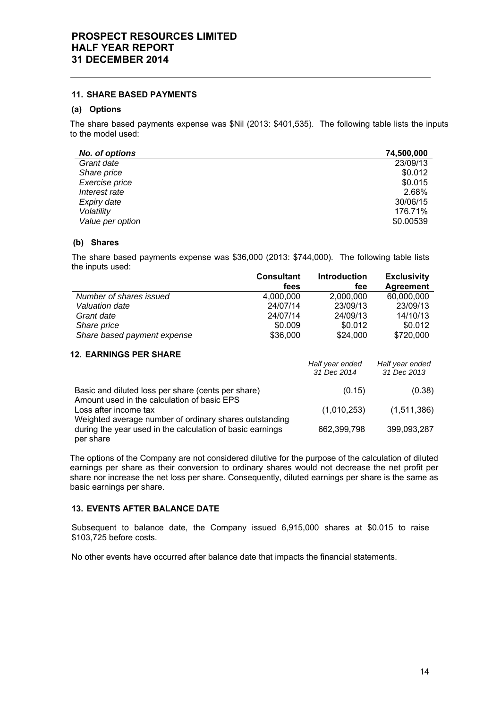## **11. SHARE BASED PAYMENTS**

# **(a) Options**

The share based payments expense was \$Nil (2013: \$401,535). The following table lists the inputs to the model used:

| <b>No. of options</b> | 74,500,000 |
|-----------------------|------------|
| Grant date            | 23/09/13   |
| Share price           | \$0.012    |
| Exercise price        | \$0.015    |
| Interest rate         | 2.68%      |
| Expiry date           | 30/06/15   |
| Volatility            | 176.71%    |
| Value per option      | \$0.00539  |

### **(b) Shares**

The share based payments expense was \$36,000 (2013: \$744,000). The following table lists the inputs used:

|                                                                                                                                  | <b>Consultant</b> | Introduction                   | <b>Exclusivity</b>             |
|----------------------------------------------------------------------------------------------------------------------------------|-------------------|--------------------------------|--------------------------------|
|                                                                                                                                  | fees              | fee                            | <b>Agreement</b>               |
| Number of shares issued                                                                                                          | 4,000,000         | 2,000,000                      | 60,000,000                     |
| Valuation date                                                                                                                   | 24/07/14          | 23/09/13                       | 23/09/13                       |
| Grant date                                                                                                                       | 24/07/14          | 24/09/13                       | 14/10/13                       |
| Share price                                                                                                                      | \$0.009           | \$0.012                        | \$0.012                        |
| Share based payment expense                                                                                                      | \$36,000          | \$24,000                       | \$720,000                      |
| <b>12. EARNINGS PER SHARE</b>                                                                                                    |                   |                                |                                |
|                                                                                                                                  |                   | Half year ended<br>31 Dec 2014 | Half year ended<br>31 Dec 2013 |
| Basic and diluted loss per share (cents per share)<br>Amount used in the calculation of basic EPS                                |                   | (0.15)                         | (0.38)                         |
| Loss after income tax                                                                                                            |                   | (1,010,253)                    | (1,511,386)                    |
| Weighted average number of ordinary shares outstanding<br>during the year used in the calculation of basic earnings<br>per share |                   | 662,399,798                    | 399,093,287                    |

The options of the Company are not considered dilutive for the purpose of the calculation of diluted earnings per share as their conversion to ordinary shares would not decrease the net profit per share nor increase the net loss per share. Consequently, diluted earnings per share is the same as basic earnings per share.

# **13. EVENTS AFTER BALANCE DATE**

Subsequent to balance date, the Company issued 6,915,000 shares at \$0.015 to raise \$103,725 before costs.

No other events have occurred after balance date that impacts the financial statements.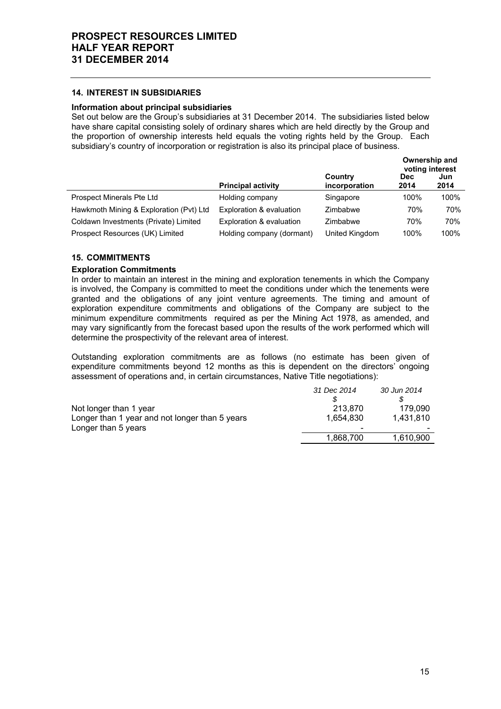### **14. INTEREST IN SUBSIDIARIES**

# **Information about principal subsidiaries**

Set out below are the Group's subsidiaries at 31 December 2014. The subsidiaries listed below have share capital consisting solely of ordinary shares which are held directly by the Group and the proportion of ownership interests held equals the voting rights held by the Group. Each subsidiary's country of incorporation or registration is also its principal place of business.

|                                         |                           |                          | Ownership and<br>voting interest |             |
|-----------------------------------------|---------------------------|--------------------------|----------------------------------|-------------|
|                                         | <b>Principal activity</b> | Country<br>incorporation | Dec.<br>2014                     | Jun<br>2014 |
| Prospect Minerals Pte Ltd               | Holding company           | Singapore                | 100%                             | 100%        |
| Hawkmoth Mining & Exploration (Pvt) Ltd | Exploration & evaluation  | Zimbabwe                 | 70%                              | 70%         |
| Coldawn Investments (Private) Limited   | Exploration & evaluation  | Zimbabwe                 | 70%                              | 70%         |
| Prospect Resources (UK) Limited         | Holding company (dormant) | United Kingdom           | 100%                             | 100%        |

# **15. COMMITMENTS**

### **Exploration Commitments**

In order to maintain an interest in the mining and exploration tenements in which the Company is involved, the Company is committed to meet the conditions under which the tenements were granted and the obligations of any joint venture agreements. The timing and amount of exploration expenditure commitments and obligations of the Company are subject to the minimum expenditure commitments required as per the Mining Act 1978, as amended, and may vary significantly from the forecast based upon the results of the work performed which will determine the prospectivity of the relevant area of interest.

Outstanding exploration commitments are as follows (no estimate has been given of expenditure commitments beyond 12 months as this is dependent on the directors' ongoing assessment of operations and, in certain circumstances, Native Title negotiations):

|                                                | 31 Dec 2014 | 30 Jun 2014 |
|------------------------------------------------|-------------|-------------|
|                                                |             |             |
| Not longer than 1 year                         | 213.870     | 179.090     |
| Longer than 1 year and not longer than 5 years | 1.654.830   | 1.431.810   |
| Longer than 5 years                            |             |             |
|                                                | 1,868,700   | 1,610,900   |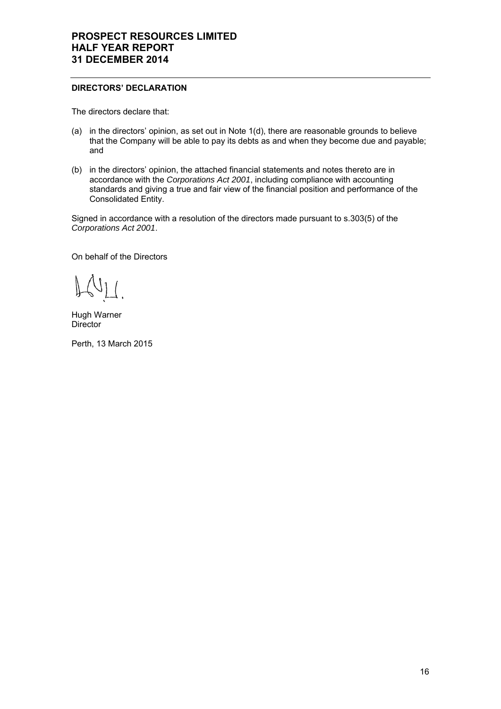# **DIRECTORS' DECLARATION**

The directors declare that:

- (a) in the directors' opinion, as set out in Note 1(d), there are reasonable grounds to believe that the Company will be able to pay its debts as and when they become due and payable; and
- (b) in the directors' opinion, the attached financial statements and notes thereto are in accordance with the *Corporations Act 2001*, including compliance with accounting standards and giving a true and fair view of the financial position and performance of the Consolidated Entity.

Signed in accordance with a resolution of the directors made pursuant to s.303(5) of the *Corporations Act 2001*.

On behalf of the Directors

 $\Lambda$ 

Hugh Warner **Director** 

Perth, 13 March 2015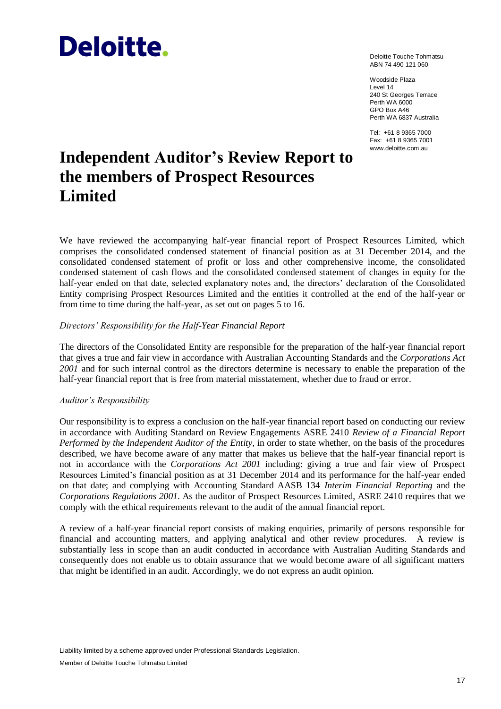# **Deloitte.**

Deloitte Touche Tohmatsu ABN 74 490 121 060

Woodside Plaza Level 14 240 St Georges Terrace Perth WA 6000 GPO Box A46 Perth WA 6837 Australia

Tel: +61 8 9365 7000 Fax: +61 8 9365 7001 www.deloitte.com.au

# **Independent Auditor's Review Report to the members of Prospect Resources Limited**

We have reviewed the accompanying half-year financial report of Prospect Resources Limited, which comprises the consolidated condensed statement of financial position as at 31 December 2014, and the consolidated condensed statement of profit or loss and other comprehensive income, the consolidated condensed statement of cash flows and the consolidated condensed statement of changes in equity for the half-year ended on that date, selected explanatory notes and, the directors' declaration of the Consolidated Entity comprising Prospect Resources Limited and the entities it controlled at the end of the half-year or from time to time during the half-year, as set out on pages 5 to 16.

# *Directors' Responsibility for the Half-Year Financial Report*

The directors of the Consolidated Entity are responsible for the preparation of the half-year financial report that gives a true and fair view in accordance with Australian Accounting Standards and the *Corporations Act 2001* and for such internal control as the directors determine is necessary to enable the preparation of the half-year financial report that is free from material misstatement, whether due to fraud or error.

# *Auditor's Responsibility*

Our responsibility is to express a conclusion on the half-year financial report based on conducting our review in accordance with Auditing Standard on Review Engagements ASRE 2410 *Review of a Financial Report Performed by the Independent Auditor of the Entity*, in order to state whether, on the basis of the procedures described, we have become aware of any matter that makes us believe that the half-year financial report is not in accordance with the *Corporations Act 2001* including: giving a true and fair view of Prospect Resources Limited's financial position as at 31 December 2014 and its performance for the half-year ended on that date; and complying with Accounting Standard AASB 134 *Interim Financial Reporting* and the *Corporations Regulations 2001*. As the auditor of Prospect Resources Limited, ASRE 2410 requires that we comply with the ethical requirements relevant to the audit of the annual financial report.

A review of a half-year financial report consists of making enquiries, primarily of persons responsible for financial and accounting matters, and applying analytical and other review procedures. A review is substantially less in scope than an audit conducted in accordance with Australian Auditing Standards and consequently does not enable us to obtain assurance that we would become aware of all significant matters that might be identified in an audit. Accordingly, we do not express an audit opinion.

Member of Deloitte Touche Tohmatsu Limited